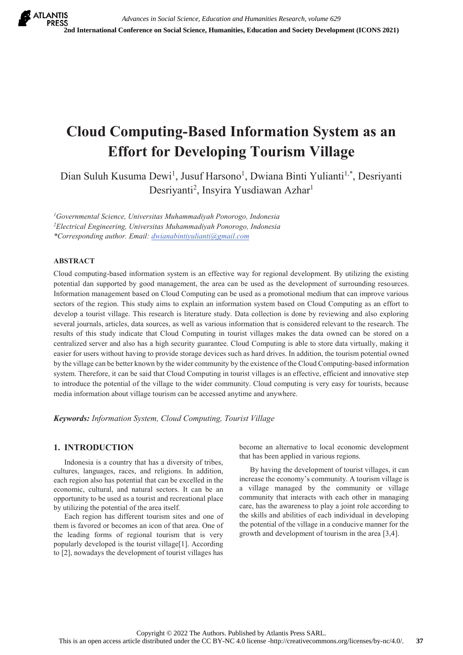# **Cloud Computing-Based Information System as an Effort for Developing Tourism Village**

Dian Suluh Kusuma Dewi<sup>1</sup>, Jusuf Harsono<sup>1</sup>, Dwiana Binti Yulianti<sup>1,\*</sup>, Desriyanti Desriyanti<sup>2</sup>, Insyira Yusdiawan Azhar<sup>1</sup>

*1 Governmental Science, Universitas Muhammadiyah Ponorogo, Indonesia 2 Electrical Engineering, Universitas Muhammadiyah Ponorogo, Indonesia \*Corresponding author. Email: dwianabintiyulianti@gmail.com*

### **ABSTRACT**

Cloud computing-based information system is an effective way for regional development. By utilizing the existing potential dan supported by good management, the area can be used as the development of surrounding resources. Information management based on Cloud Computing can be used as a promotional medium that can improve various sectors of the region. This study aims to explain an information system based on Cloud Computing as an effort to develop a tourist village. This research is literature study. Data collection is done by reviewing and also exploring several journals, articles, data sources, as well as various information that is considered relevant to the research. The results of this study indicate that Cloud Computing in tourist villages makes the data owned can be stored on a centralized server and also has a high security guarantee. Cloud Computing is able to store data virtually, making it easier for users without having to provide storage devices such as hard drives. In addition, the tourism potential owned by the village can be better known by the wider community by the existence of the Cloud Computing-based information system. Therefore, it can be said that Cloud Computing in tourist villages is an effective, efficient and innovative step to introduce the potential of the village to the wider community. Cloud computing is very easy for tourists, because media information about village tourism can be accessed anytime and anywhere.

*Keywords: Information System, Cloud Computing, Tourist Village* 

## **1. INTRODUCTION**

 Indonesia is a country that has a diversity of tribes, cultures, languages, races, and religions. In addition, each region also has potential that can be excelled in the economic, cultural, and natural sectors. It can be an opportunity to be used as a tourist and recreational place by utilizing the potential of the area itself.

 Each region has different tourism sites and one of them is favored or becomes an icon of that area. One of the leading forms of regional tourism that is very popularly developed is the tourist village[1]. According to [2], nowadays the development of tourist villages has

become an alternative to local economic development that has been applied in various regions.

 By having the development of tourist villages, it can increase the economy's community. A tourism village is a village managed by the community or village community that interacts with each other in managing care, has the awareness to play a joint role according to the skills and abilities of each individual in developing the potential of the village in a conducive manner for the growth and development of tourism in the area [3,4].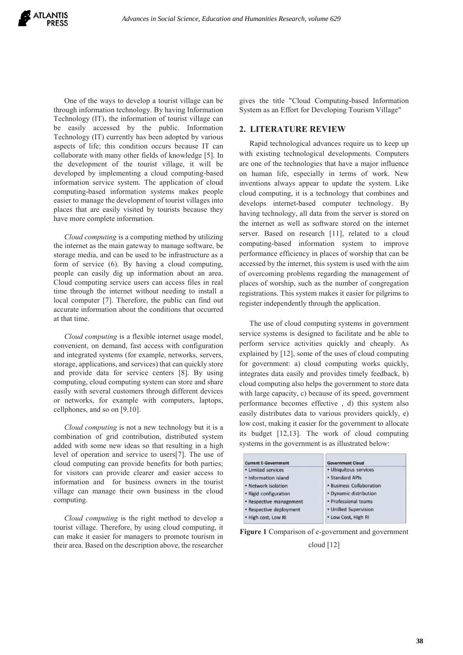One of the ways to develop a tourist village can be through information technology. By having Information Technology (IT), the information of tourist village can be easily accessed by the public. Information Technology (IT) currently has been adopted by various aspects of life; this condition occurs because IT can collaborate with many other fields of knowledge [5]. In the development of the tourist village, it will be developed by implementing a cloud computing-based information service system. The application of cloud computing-based information systems makes people easier to manage the development of tourist villages into places that are easily visited by tourists because they have more complete information.

 *Cloud computing* is a computing method by utilizing the internet as the main gateway to manage software, be storage media, and can be used to be infrastructure as a form of service (6). By having a cloud computing, people can easily dig up information about an area. Cloud computing service users can access files in real time through the internet without needing to install a local computer [7]. Therefore, the public can find out accurate information about the conditions that occurred at that time.

 *Cloud computing* is a flexible internet usage model, convenient, on demand, fast access with configuration and integrated systems (for example, networks, servers, storage, applications, and services) that can quickly store and provide data for service centers [8]. By using computing, cloud computing system can store and share easily with several customers through different devices or networks, for example with computers, laptops, cellphones, and so on [9,10].

 *Cloud computing* is not a new technology but it is a combination of grid contribution, distributed system added with some new ideas so that resulting in a high level of operation and service to users[7]. The use of cloud computing can provide benefits for both parties; for visitors can provide clearer and easier access to information and for business owners in the tourist village can manage their own business in the cloud computing.

 *Cloud computing* is the right method to develop a tourist village. Therefore, by using cloud computing, it can make it easier for managers to promote tourism in their area. Based on the description above, the researcher gives the title "Cloud Computing-based Information System as an Effort for Developing Tourism Village"

### **2. LITERATURE REVIEW**

Rapid technological advances require us to keep up with existing technological developments. Computers are one of the technologies that have a major influence on human life, especially in terms of work. New inventions always appear to update the system. Like cloud computing, it is a technology that combines and develops internet-based computer technology. By having technology, all data from the server is stored on the internet as well as software stored on the internet server. Based on research [11], related to a cloud computing-based information system to improve performance efficiency in places of worship that can be accessed by the internet, this system is used with the aim of overcoming problems regarding the management of places of worship, such as the number of congregation registrations. This system makes it easier for pilgrims to register independently through the application.

The use of cloud computing systems in government service systems is designed to facilitate and be able to perform service activities quickly and cheaply. As explained by [12], some of the uses of cloud computing for government: a) cloud computing works quickly, integrates data easily and provides timely feedback, b) cloud computing also helps the government to store data with large capacity, c) because of its speed, government performance becomes effective , d) this system also easily distributes data to various providers quickly, e) low cost, making it easier for the government to allocate its budget [12,13]. The work of cloud computing systems in the government is as illustrated below:

| <b>Current E-Government</b> | <b>Government Cloud</b>  |
|-----------------------------|--------------------------|
| • Limited services          | • Ubiquitous services    |
| • Information island        | · Standard APIs          |
| • Network isolation         | • Business Collaboration |
| • Rigid configuration       | • Dynamic distribution   |
| • Respective management     | · Professional teams     |
| • Respective deployment     | • Unified Supervision    |
| . High cost, Low RI         | • Low Cost, High RI      |

**Figure 1** Comparison of e-government and government

cloud [12]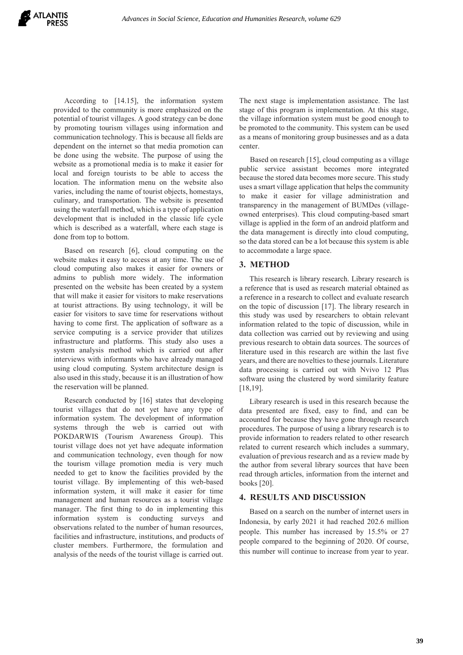According to [14.15], the information system provided to the community is more emphasized on the potential of tourist villages. A good strategy can be done by promoting tourism villages using information and communication technology. This is because all fields are dependent on the internet so that media promotion can be done using the website. The purpose of using the website as a promotional media is to make it easier for local and foreign tourists to be able to access the location. The information menu on the website also varies, including the name of tourist objects, homestays, culinary, and transportation. The website is presented using the waterfall method, which is a type of application development that is included in the classic life cycle which is described as a waterfall, where each stage is done from top to bottom.

 Based on research [6], cloud computing on the website makes it easy to access at any time. The use of cloud computing also makes it easier for owners or admins to publish more widely. The information presented on the website has been created by a system that will make it easier for visitors to make reservations at tourist attractions. By using technology, it will be easier for visitors to save time for reservations without having to come first. The application of software as a service computing is a service provider that utilizes infrastructure and platforms. This study also uses a system analysis method which is carried out after interviews with informants who have already managed using cloud computing. System architecture design is also used in this study, because it is an illustration of how the reservation will be planned.

 Research conducted by [16] states that developing tourist villages that do not yet have any type of information system. The development of information systems through the web is carried out with POKDARWIS (Tourism Awareness Group). This tourist village does not yet have adequate information and communication technology, even though for now the tourism village promotion media is very much needed to get to know the facilities provided by the tourist village. By implementing of this web-based information system, it will make it easier for time management and human resources as a tourist village manager. The first thing to do in implementing this information system is conducting surveys and observations related to the number of human resources, facilities and infrastructure, institutions, and products of cluster members. Furthermore, the formulation and analysis of the needs of the tourist village is carried out.

The next stage is implementation assistance. The last stage of this program is implementation. At this stage, the village information system must be good enough to be promoted to the community. This system can be used as a means of monitoring group businesses and as a data center.

 Based on research [15], cloud computing as a village public service assistant becomes more integrated because the stored data becomes more secure. This study uses a smart village application that helps the community to make it easier for village administration and transparency in the management of BUMDes (villageowned enterprises). This cloud computing-based smart village is applied in the form of an android platform and the data management is directly into cloud computing, so the data stored can be a lot because this system is able to accommodate a large space.

### **3. METHOD**

This research is library research. Library research is a reference that is used as research material obtained as a reference in a research to collect and evaluate research on the topic of discussion [17]. The library research in this study was used by researchers to obtain relevant information related to the topic of discussion, while in data collection was carried out by reviewing and using previous research to obtain data sources. The sources of literature used in this research are within the last five years, and there are novelties to these journals. Literature data processing is carried out with Nvivo 12 Plus software using the clustered by word similarity feature [18,19].

Library research is used in this research because the data presented are fixed, easy to find, and can be accounted for because they have gone through research procedures. The purpose of using a library research is to provide information to readers related to other research related to current research which includes a summary, evaluation of previous research and as a review made by the author from several library sources that have been read through articles, information from the internet and books [20].

### **4. RESULTS AND DISCUSSION**

Based on a search on the number of internet users in Indonesia, by early 2021 it had reached 202.6 million people. This number has increased by 15.5% or 27 people compared to the beginning of 2020. Of course, this number will continue to increase from year to year.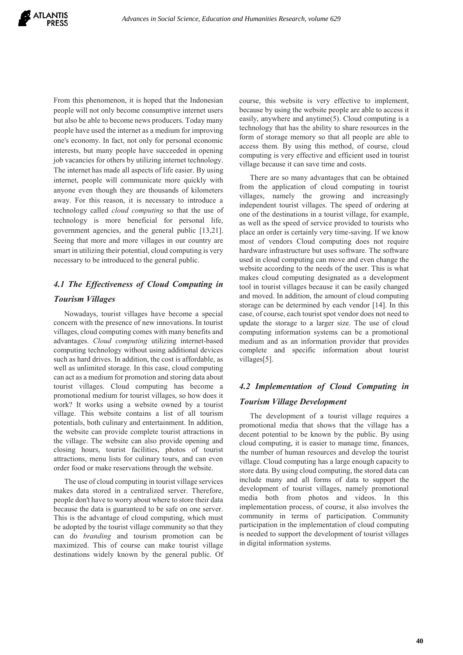From this phenomenon, it is hoped that the Indonesian people will not only become consumptive internet users but also be able to become news producers. Today many people have used the internet as a medium for improving one's economy. In fact, not only for personal economic interests, but many people have succeeded in opening job vacancies for others by utilizing internet technology. The internet has made all aspects of life easier. By using internet, people will communicate more quickly with anyone even though they are thousands of kilometers away. For this reason, it is necessary to introduce a technology called *cloud computing* so that the use of technology is more beneficial for personal life, government agencies, and the general public [13,21]. Seeing that more and more villages in our country are smart in utilizing their potential, cloud computing is very necessary to be introduced to the general public.

# *4.1 The Effectiveness of Cloud Computing in Tourism Villages*

 Nowadays, tourist villages have become a special concern with the presence of new innovations. In tourist villages, cloud computing comes with many benefits and advantages. *Cloud computing* utilizing internet-based computing technology without using additional devices such as hard drives. In addition, the cost is affordable, as well as unlimited storage. In this case, cloud computing can act as a medium for promotion and storing data about tourist villages. Cloud computing has become a promotional medium for tourist villages, so how does it work? It works using a website owned by a tourist village. This website contains a list of all tourism potentials, both culinary and entertainment. In addition, the website can provide complete tourist attractions in the village. The website can also provide opening and closing hours, tourist facilities, photos of tourist attractions, menu lists for culinary tours, and can even order food or make reservations through the website.

 The use of cloud computing in tourist village services makes data stored in a centralized server. Therefore, people don't have to worry about where to store their data because the data is guaranteed to be safe on one server. This is the advantage of cloud computing, which must be adopted by the tourist village community so that they can do *branding* and tourism promotion can be maximized. This of course can make tourist village destinations widely known by the general public. Of course, this website is very effective to implement, because by using the website people are able to access it easily, anywhere and anytime(5). Cloud computing is a technology that has the ability to share resources in the form of storage memory so that all people are able to access them. By using this method, of course, cloud computing is very effective and efficient used in tourist village because it can save time and costs.

 There are so many advantages that can be obtained from the application of cloud computing in tourist villages, namely the growing and increasingly independent tourist villages. The speed of ordering at one of the destinations in a tourist village, for example, as well as the speed of service provided to tourists who place an order is certainly very time-saving. If we know most of vendors Cloud computing does not require hardware infrastructure but uses software. The software used in cloud computing can move and even change the website according to the needs of the user. This is what makes cloud computing designated as a development tool in tourist villages because it can be easily changed and moved. In addition, the amount of cloud computing storage can be determined by each vendor [14]. In this case, of course, each tourist spot vendor does not need to update the storage to a larger size. The use of cloud computing information systems can be a promotional medium and as an information provider that provides complete and specific information about tourist villages[5].

# *4.2 Implementation of Cloud Computing in Tourism Village Development*

 The development of a tourist village requires a promotional media that shows that the village has a decent potential to be known by the public. By using cloud computing, it is easier to manage time, finances, the number of human resources and develop the tourist village. Cloud computing has a large enough capacity to store data. By using cloud computing, the stored data can include many and all forms of data to support the development of tourist villages, namely promotional media both from photos and videos. In this implementation process, of course, it also involves the community in terms of participation. Community participation in the implementation of cloud computing is needed to support the development of tourist villages in digital information systems.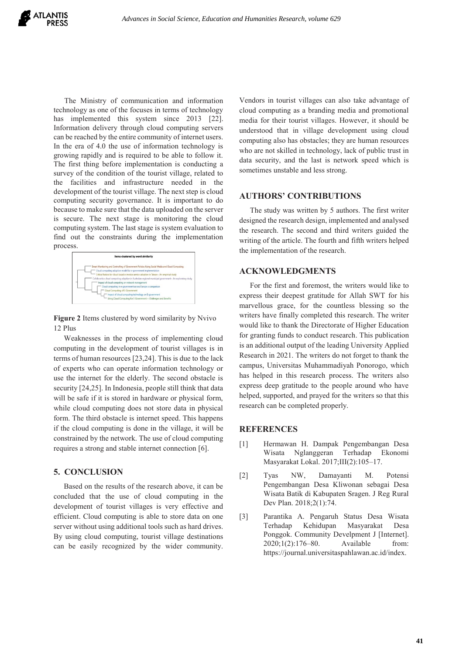

 The Ministry of communication and information technology as one of the focuses in terms of technology has implemented this system since 2013 [22]. Information delivery through cloud computing servers can be reached by the entire community of internet users. In the era of 4.0 the use of information technology is growing rapidly and is required to be able to follow it. The first thing before implementation is conducting a survey of the condition of the tourist village, related to the facilities and infrastructure needed in the development of the tourist village. The next step is cloud computing security governance. It is important to do because to make sure that the data uploaded on the server is secure. The next stage is monitoring the cloud computing system. The last stage is system evaluation to find out the constraints during the implementation process.

| Items clustered by word similarity                                                                       |
|----------------------------------------------------------------------------------------------------------|
| Smart Monitoring and Controlling of Government Policies Using Social Media and Cloud Computing           |
| Cloud computing adoption model for e-government implementation                                           |
| Critical factors for cloud based e-invoice service adoption in Taiwan- An empirical study                |
| Collaborative cloud computing adoption in Australian regional municipal government- An exploratory study |
| Impact of cloud computing on network management                                                          |
| Cloud computing in e-government across Europe a comparison                                               |
| Cloud Computing of E-Government                                                                          |
| Impact of cloud computing technology on E-government                                                     |
| Using Cloud Computing for E-Government - Challenges and Benefits                                         |

**Figure 2** Items clustered by word similarity by Nvivo 12 Plus

Weaknesses in the process of implementing cloud computing in the development of tourist villages is in terms of human resources [23,24]. This is due to the lack of experts who can operate information technology or use the internet for the elderly. The second obstacle is security [24,25]. In Indonesia, people still think that data will be safe if it is stored in hardware or physical form, while cloud computing does not store data in physical form. The third obstacle is internet speed. This happens if the cloud computing is done in the village, it will be constrained by the network. The use of cloud computing requires a strong and stable internet connection [6].

## **5. CONCLUSION**

Based on the results of the research above, it can be concluded that the use of cloud computing in the development of tourist villages is very effective and efficient. Cloud computing is able to store data on one server without using additional tools such as hard drives. By using cloud computing, tourist village destinations can be easily recognized by the wider community.

Vendors in tourist villages can also take advantage of cloud computing as a branding media and promotional media for their tourist villages. However, it should be understood that in village development using cloud computing also has obstacles; they are human resources who are not skilled in technology, lack of public trust in data security, and the last is network speed which is sometimes unstable and less strong.

#### **AUTHORS' CONTRIBUTIONS**

 The study was written by 5 authors. The first writer designed the research design, implemented and analysed the research. The second and third writers guided the writing of the article. The fourth and fifth writers helped the implementation of the research.

### **ACKNOWLEDGMENTS**

 For the first and foremost, the writers would like to express their deepest gratitude for Allah SWT for his marvellous grace, for the countless blessing so the writers have finally completed this research. The writer would like to thank the Directorate of Higher Education for granting funds to conduct research. This publication is an additional output of the leading University Applied Research in 2021. The writers do not forget to thank the campus, Universitas Muhammadiyah Ponorogo, which has helped in this research process. The writers also express deep gratitude to the people around who have helped, supported, and prayed for the writers so that this research can be completed properly.

### **REFERENCES**

- [1] Hermawan H. Dampak Pengembangan Desa Wisata Nglanggeran Terhadap Ekonomi Masyarakat Lokal. 2017;III(2):105–17.
- [2] Tyas NW, Damayanti M. Potensi Pengembangan Desa Kliwonan sebagai Desa Wisata Batik di Kabupaten Sragen. J Reg Rural Dev Plan. 2018;2(1):74.
- [3] Parantika A. Pengaruh Status Desa Wisata Terhadap Kehidupan Masyarakat Desa Ponggok. Community Develpment J [Internet]. 2020;1(2):176–80. Available from: https://journal.universitaspahlawan.ac.id/index.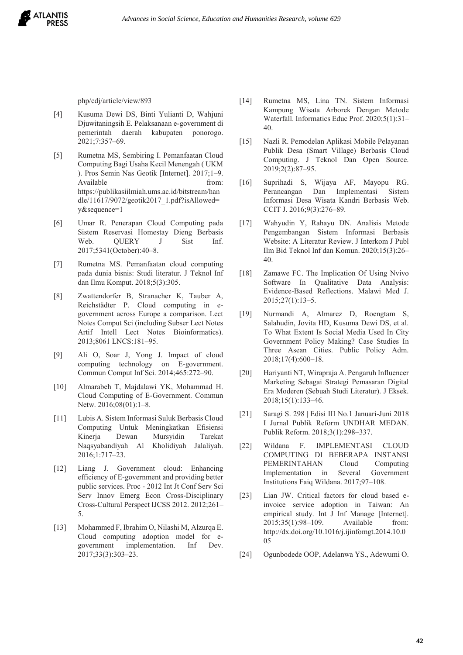

php/cdj/article/view/893

- [4] Kusuma Dewi DS, Binti Yulianti D, Wahjuni Djuwitaningsih E. Pelaksanaan e-government di pemerintah daerah kabupaten ponorogo. 2021;7:357–69.
- [5] Rumetna MS, Sembiring I. Pemanfaatan Cloud Computing Bagi Usaha Kecil Menengah ( UKM ). Pros Semin Nas Geotik [Internet]. 2017;1–9. Available from: https://publikasiilmiah.ums.ac.id/bitstream/han dle/11617/9072/geotik2017\_1.pdf?isAllowed= y&sequence=1
- [6] Umar R. Penerapan Cloud Computing pada Sistem Reservasi Homestay Dieng Berbasis Web. QUERY J Sist Inf. 2017;5341(October):40–8.
- [7] Rumetna MS. Pemanfaatan cloud computing pada dunia bisnis: Studi literatur. J Teknol Inf dan Ilmu Komput. 2018;5(3):305.
- [8] Zwattendorfer B, Stranacher K, Tauber A, Reichstädter P. Cloud computing in egovernment across Europe a comparison. Lect Notes Comput Sci (including Subser Lect Notes Artif Intell Lect Notes Bioinformatics). 2013;8061 LNCS:181–95.
- [9] Ali O, Soar J, Yong J. Impact of cloud computing technology on E-government. Commun Comput Inf Sci. 2014;465:272–90.
- [10] Almarabeh T, Majdalawi YK, Mohammad H. Cloud Computing of E-Government. Commun Netw. 2016;08(01):1–8.
- [11] Lubis A. Sistem Informasi Suluk Berbasis Cloud Computing Untuk Meningkatkan Efisiensi Kinerja Dewan Mursyidin Tarekat Naqsyabandiyah Al Kholidiyah Jalaliyah. 2016;1:717–23.
- [12] Liang J. Government cloud: Enhancing efficiency of E-government and providing better public services. Proc - 2012 Int Jt Conf Serv Sci Serv Innov Emerg Econ Cross-Disciplinary Cross-Cultural Perspect IJCSS 2012. 2012;261– 5.
- [13] Mohammed F, Ibrahim O, Nilashi M, Alzurqa E. Cloud computing adoption model for egovernment implementation. Inf Dev. 2017;33(3):303–23.
- [14] Rumetna MS, Lina TN. Sistem Informasi Kampung Wisata Arborek Dengan Metode Waterfall. Informatics Educ Prof. 2020;5(1):31– 40.
- [15] Nazli R. Pemodelan Aplikasi Mobile Pelayanan Publik Desa (Smart Village) Berbasis Cloud Computing. J Teknol Dan Open Source. 2019;2(2):87–95.
- [16] Suprihadi S, Wijaya AF, Mayopu RG. Perancangan Dan Implementasi Sistem Informasi Desa Wisata Kandri Berbasis Web. CCIT J. 2016;9(3):276–89.
- [17] Wahyudin Y, Rahayu DN. Analisis Metode Pengembangan Sistem Informasi Berbasis Website: A Literatur Review. J Interkom J Publ Ilm Bid Teknol Inf dan Komun. 2020;15(3):26– 40.
- [18] Zamawe FC. The Implication Of Using Nvivo Software In Qualitative Data Analysis: Evidence-Based Reflections. Malawi Med J. 2015;27(1):13–5.
- [19] Nurmandi A, Almarez D, Roengtam S, Salahudin, Jovita HD, Kusuma Dewi DS, et al. To What Extent Is Social Media Used In City Government Policy Making? Case Studies In Three Asean Cities. Public Policy Adm. 2018;17(4):600–18.
- [20] Hariyanti NT, Wirapraja A. Pengaruh Influencer Marketing Sebagai Strategi Pemasaran Digital Era Moderen (Sebuah Studi Literatur). J Eksek. 2018;15(1):133–46.
- [21] Saragi S. 298 | Edisi III No.1 Januari-Juni 2018 I Jurnal Publik Reform UNDHAR MEDAN. Publik Reform. 2018;3(1):298–337.
- [22] Wildana F. IMPLEMENTASI CLOUD COMPUTING DI BEBERAPA INSTANSI PEMERINTAHAN Cloud Computing Implementation in Several Government Institutions Faiq Wildana. 2017;97–108.
- [23] Lian JW. Critical factors for cloud based einvoice service adoption in Taiwan: An empirical study. Int J Inf Manage [Internet]. 2015;35(1):98–109. Available from: http://dx.doi.org/10.1016/j.ijinfomgt.2014.10.0 05
- [24] Ogunbodede OOP, Adelanwa YS., Adewumi O.